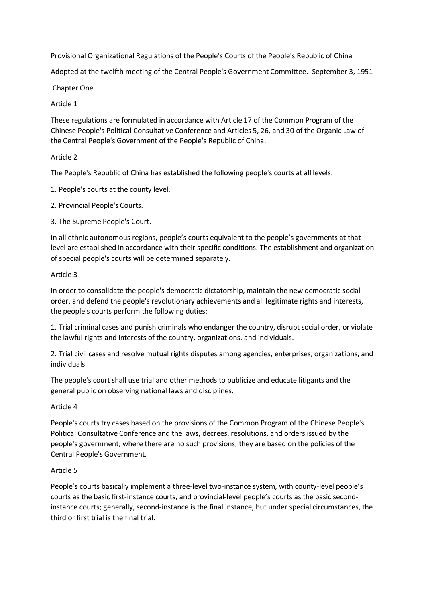Provisional Organizational Regulations of the People's Courts of the People's Republic of China

Adopted at the twelfth meeting of the Central People's Government Committee. September 3, 1951

Chapter One

## Article 1

These regulations are formulated in accordance with Article 17 of the Common Program of the Chinese People's Political Consultative Conference and Articles 5, 26, and 30 of the Organic Law of the Central People's Government of the People's Republic of China.

## Article 2

The People's Republic of China has established the following people's courts at all levels:

1. People's courts at the county level.

2. Provincial People's Courts.

3. The Supreme People's Court.

In all ethnic autonomous regions, people's courts equivalent to the people's governments at that level are established in accordance with their specific conditions. The establishment and organization of special people's courts will be determined separately.

## Article 3

In order to consolidate the people's democratic dictatorship, maintain the new democratic social order, and defend the people's revolutionary achievements and all legitimate rights and interests, the people's courts perform the following duties:

1. Trial criminal cases and punish criminals who endanger the country, disrupt social order, or violate the lawful rights and interests of the country, organizations, and individuals.

2. Trial civil cases and resolve mutual rights disputes among agencies, enterprises, organizations, and individuals.

The people's court shall use trial and other methods to publicize and educate litigants and the general public on observing national laws and disciplines.

# Article 4

People's courts try cases based on the provisions of the Common Program of the Chinese People's Political Consultative Conference and the laws, decrees, resolutions, and orders issued by the people's government; where there are no such provisions, they are based on the policies of the Central People's Government.

# Article 5

People's courts basically implement a three-level two-instance system, with county-level people's courts as the basic first-instance courts, and provincial-level people's courts as the basic secondinstance courts; generally, second-instance is the final instance, but under special circumstances, the third or first trial is the final trial.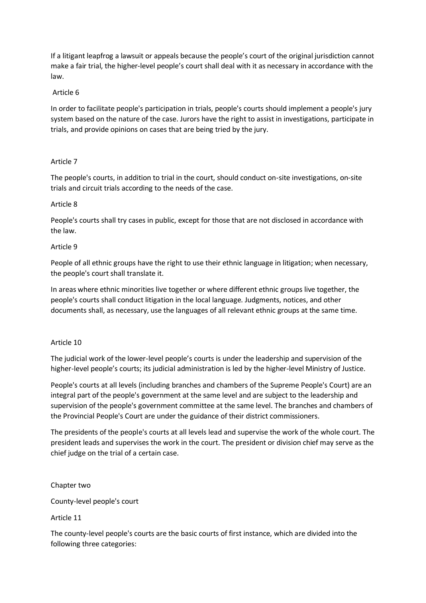If a litigant leapfrog a lawsuit or appeals because the people's court of the original jurisdiction cannot make a fair trial, the higher-level people's court shall deal with it as necessary in accordance with the law.

## Article 6

In order to facilitate people's participation in trials, people's courts should implement a people's jury system based on the nature of the case. Jurors have the right to assist in investigations, participate in trials, and provide opinions on cases that are being tried by the jury.

### Article 7

The people's courts, in addition to trial in the court, should conduct on-site investigations, on-site trials and circuit trials according to the needs of the case.

### Article 8

People's courts shall try cases in public, except for those that are not disclosed in accordance with the law.

### Article 9

People of all ethnic groups have the right to use their ethnic language in litigation; when necessary, the people's court shall translate it.

In areas where ethnic minorities live together or where different ethnic groups live together, the people's courts shall conduct litigation in the local language. Judgments, notices, and other documents shall, as necessary, use the languages of all relevant ethnic groups at the same time.

#### Article 10

The judicial work of the lower-level people's courts is under the leadership and supervision of the higher-level people's courts; its judicial administration is led by the higher-level Ministry of Justice.

People's courts at all levels (including branches and chambers of the Supreme People's Court) are an integral part of the people's government at the same level and are subject to the leadership and supervision of the people's government committee at the same level. The branches and chambers of the Provincial People's Court are under the guidance of their district commissioners.

The presidents of the people's courts at all levels lead and supervise the work of the whole court. The president leads and supervises the work in the court. The president or division chief may serve as the chief judge on the trial of a certain case.

Chapter two

County-level people's court

Article 11

The county-level people's courts are the basic courts of first instance, which are divided into the following three categories: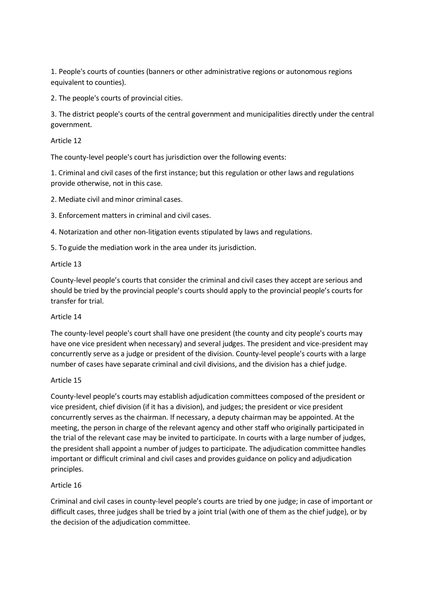1. People's courts of counties (banners or other administrative regions or autonomous regions equivalent to counties).

2. The people's courts of provincial cities.

3. The district people's courts of the central government and municipalities directly under the central government.

Article 12

The county-level people's court has jurisdiction over the following events:

1. Criminal and civil cases of the first instance; but this regulation or other laws and regulations provide otherwise, not in this case.

2. Mediate civil and minor criminal cases.

3. Enforcement matters in criminal and civil cases.

4. Notarization and other non-litigation events stipulated by laws and regulations.

5. To guide the mediation work in the area under its jurisdiction.

### Article 13

County-level people's courts that consider the criminal and civil cases they accept are serious and should be tried by the provincial people's courts should apply to the provincial people's courts for transfer for trial.

#### Article 14

The county-level people's court shall have one president (the county and city people's courts may have one vice president when necessary) and several judges. The president and vice-president may concurrently serve as a judge or president of the division. County-level people's courts with a large number of cases have separate criminal and civil divisions, and the division has a chief judge.

#### Article 15

County-level people's courts may establish adjudication committees composed of the president or vice president, chief division (if it has a division), and judges; the president or vice president concurrently serves as the chairman. If necessary, a deputy chairman may be appointed. At the meeting, the person in charge of the relevant agency and other staff who originally participated in the trial of the relevant case may be invited to participate. In courts with a large number of judges, the president shall appoint a number of judges to participate. The adjudication committee handles important or difficult criminal and civil cases and provides guidance on policy and adjudication principles.

## Article 16

Criminal and civil cases in county-level people's courts are tried by one judge; in case of important or difficult cases, three judges shall be tried by a joint trial (with one of them as the chief judge), or by the decision of the adjudication committee.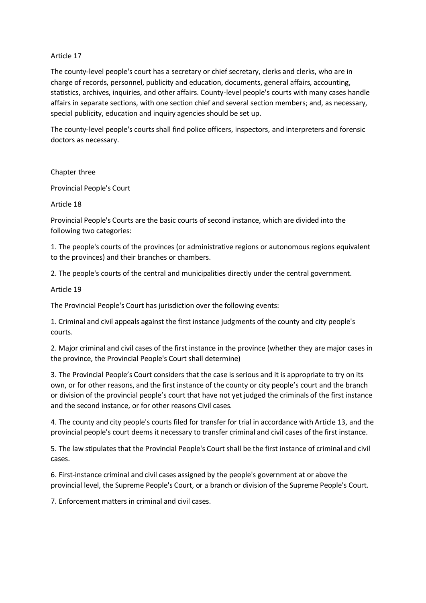### Article 17

The county-level people's court has a secretary or chief secretary, clerks and clerks, who are in charge of records, personnel, publicity and education, documents, general affairs, accounting, statistics, archives, inquiries, and other affairs. County-level people's courts with many cases handle affairs in separate sections, with one section chief and several section members; and, as necessary, special publicity, education and inquiry agencies should be set up.

The county-level people's courts shall find police officers, inspectors, and interpreters and forensic doctors as necessary.

Chapter three

Provincial People's Court

#### Article 18

Provincial People's Courts are the basic courts of second instance, which are divided into the following two categories:

1. The people's courts of the provinces (or administrative regions or autonomous regions equivalent to the provinces) and their branches or chambers.

2. The people's courts of the central and municipalities directly under the central government.

Article 19

The Provincial People's Court has jurisdiction over the following events:

1. Criminal and civil appeals against the first instance judgments of the county and city people's courts.

2. Major criminal and civil cases of the first instance in the province (whether they are major cases in the province, the Provincial People's Court shall determine)

3. The Provincial People's Court considers that the case is serious and it is appropriate to try on its own, or for other reasons, and the first instance of the county or city people's court and the branch or division of the provincial people's court that have not yet judged the criminals of the first instance and the second instance, or for other reasons Civil cases.

4. The county and city people's courts filed for transfer for trial in accordance with Article 13, and the provincial people's court deems it necessary to transfer criminal and civil cases of the first instance.

5. The law stipulates that the Provincial People's Court shall be the first instance of criminal and civil cases.

6. First-instance criminal and civil cases assigned by the people's government at or above the provincial level, the Supreme People's Court, or a branch or division of the Supreme People's Court.

7. Enforcement matters in criminal and civil cases.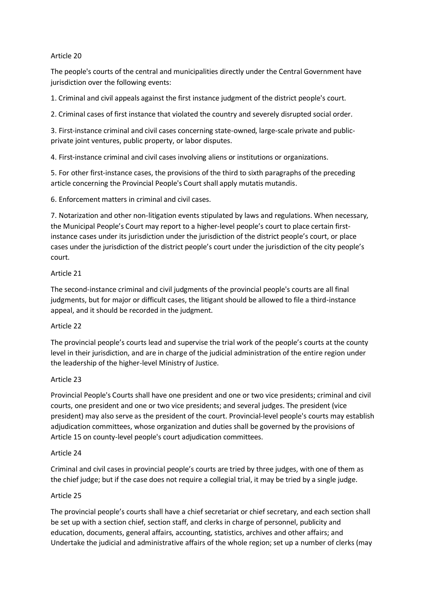## Article 20

The people's courts of the central and municipalities directly under the Central Government have jurisdiction over the following events:

1. Criminal and civil appeals against the first instance judgment of the district people's court.

2. Criminal cases of first instance that violated the country and severely disrupted social order.

3. First-instance criminal and civil cases concerning state-owned, large-scale private and publicprivate joint ventures, public property, or labor disputes.

4. First-instance criminal and civil cases involving aliens or institutions or organizations.

5. For other first-instance cases, the provisions of the third to sixth paragraphs of the preceding article concerning the Provincial People's Court shall apply mutatis mutandis.

6. Enforcement matters in criminal and civil cases.

7. Notarization and other non-litigation events stipulated by laws and regulations. When necessary, the Municipal People's Court may report to a higher-level people's court to place certain firstinstance cases under its jurisdiction under the jurisdiction of the district people's court, or place cases under the jurisdiction of the district people's court under the jurisdiction of the city people's court.

### Article 21

The second-instance criminal and civil judgments of the provincial people's courts are all final judgments, but for major or difficult cases, the litigant should be allowed to file a third-instance appeal, and it should be recorded in the judgment.

#### Article 22

The provincial people's courts lead and supervise the trial work of the people's courts at the county level in their jurisdiction, and are in charge of the judicial administration of the entire region under the leadership of the higher-level Ministry of Justice.

#### Article 23

Provincial People's Courts shall have one president and one or two vice presidents; criminal and civil courts, one president and one or two vice presidents; and several judges. The president (vice president) may also serve as the president of the court. Provincial-level people's courts may establish adjudication committees, whose organization and duties shall be governed by the provisions of Article 15 on county-level people's court adjudication committees.

#### Article 24

Criminal and civil cases in provincial people's courts are tried by three judges, with one of them as the chief judge; but if the case does not require a collegial trial, it may be tried by a single judge.

#### Article 25

The provincial people's courts shall have a chief secretariat or chief secretary, and each section shall be set up with a section chief, section staff, and clerks in charge of personnel, publicity and education, documents, general affairs, accounting, statistics, archives and other affairs; and Undertake the judicial and administrative affairs of the whole region; set up a number of clerks (may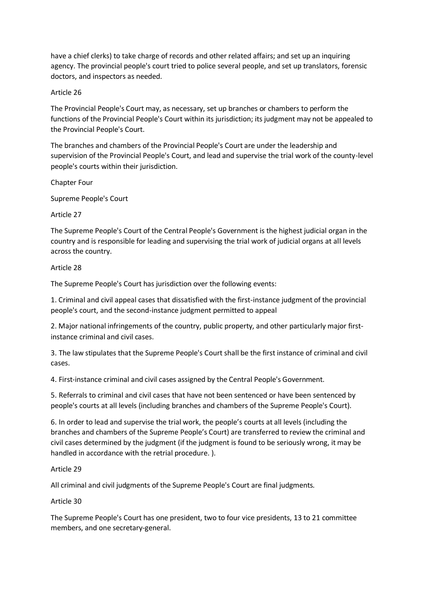have a chief clerks) to take charge of records and other related affairs; and set up an inquiring agency. The provincial people's court tried to police several people, and set up translators, forensic doctors, and inspectors as needed.

### Article 26

The Provincial People's Court may, as necessary, set up branches or chambers to perform the functions of the Provincial People's Court within its jurisdiction; its judgment may not be appealed to the Provincial People's Court.

The branches and chambers of the Provincial People's Court are under the leadership and supervision of the Provincial People's Court, and lead and supervise the trial work of the county-level people's courts within their jurisdiction.

Chapter Four

Supreme People's Court

### Article 27

The Supreme People's Court of the Central People's Government is the highest judicial organ in the country and is responsible for leading and supervising the trial work of judicial organs at all levels across the country.

### Article 28

The Supreme People's Court has jurisdiction over the following events:

1. Criminal and civil appeal cases that dissatisfied with the first-instance judgment of the provincial people's court, and the second-instance judgment permitted to appeal

2. Major national infringements of the country, public property, and other particularly major firstinstance criminal and civil cases.

3. The law stipulates that the Supreme People's Court shall be the first instance of criminal and civil cases.

4. First-instance criminal and civil cases assigned by the Central People's Government.

5. Referrals to criminal and civil cases that have not been sentenced or have been sentenced by people's courts at all levels (including branches and chambers of the Supreme People's Court).

6. In order to lead and supervise the trial work, the people's courts at all levels (including the branches and chambers of the Supreme People's Court) are transferred to review the criminal and civil cases determined by the judgment (if the judgment is found to be seriously wrong, it may be handled in accordance with the retrial procedure. ).

## Article 29

All criminal and civil judgments of the Supreme People's Court are final judgments.

#### Article 30

The Supreme People's Court has one president, two to four vice presidents, 13 to 21 committee members, and one secretary-general.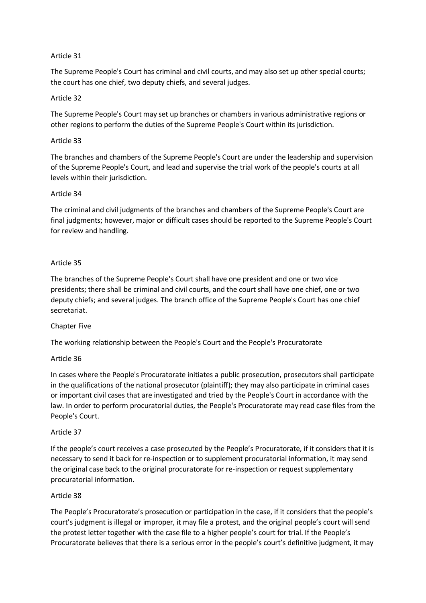## Article 31

The Supreme People's Court has criminal and civil courts, and may also set up other special courts; the court has one chief, two deputy chiefs, and several judges.

## Article 32

The Supreme People's Court may set up branches or chambers in various administrative regions or other regions to perform the duties of the Supreme People's Court within its jurisdiction.

## Article 33

The branches and chambers of the Supreme People's Court are under the leadership and supervision of the Supreme People's Court, and lead and supervise the trial work of the people's courts at all levels within their jurisdiction.

## Article 34

The criminal and civil judgments of the branches and chambers of the Supreme People's Court are final judgments; however, major or difficult cases should be reported to the Supreme People's Court for review and handling.

## Article 35

The branches of the Supreme People's Court shall have one president and one or two vice presidents; there shall be criminal and civil courts, and the court shall have one chief, one or two deputy chiefs; and several judges. The branch office of the Supreme People's Court has one chief secretariat.

## Chapter Five

The working relationship between the People's Court and the People's Procuratorate

## Article 36

In cases where the People's Procuratorate initiates a public prosecution, prosecutors shall participate in the qualifications of the national prosecutor (plaintiff); they may also participate in criminal cases or important civil cases that are investigated and tried by the People's Court in accordance with the law. In order to perform procuratorial duties, the People's Procuratorate may read case files from the People's Court.

## Article 37

If the people's court receives a case prosecuted by the People's Procuratorate, if it considers that it is necessary to send it back for re-inspection or to supplement procuratorial information, it may send the original case back to the original procuratorate for re-inspection or request supplementary procuratorial information.

## Article 38

The People's Procuratorate's prosecution or participation in the case, if it considers that the people's court's judgment is illegal or improper, it may file a protest, and the original people's court will send the protest letter together with the case file to a higher people's court for trial. If the People's Procuratorate believes that there is a serious error in the people's court's definitive judgment, it may